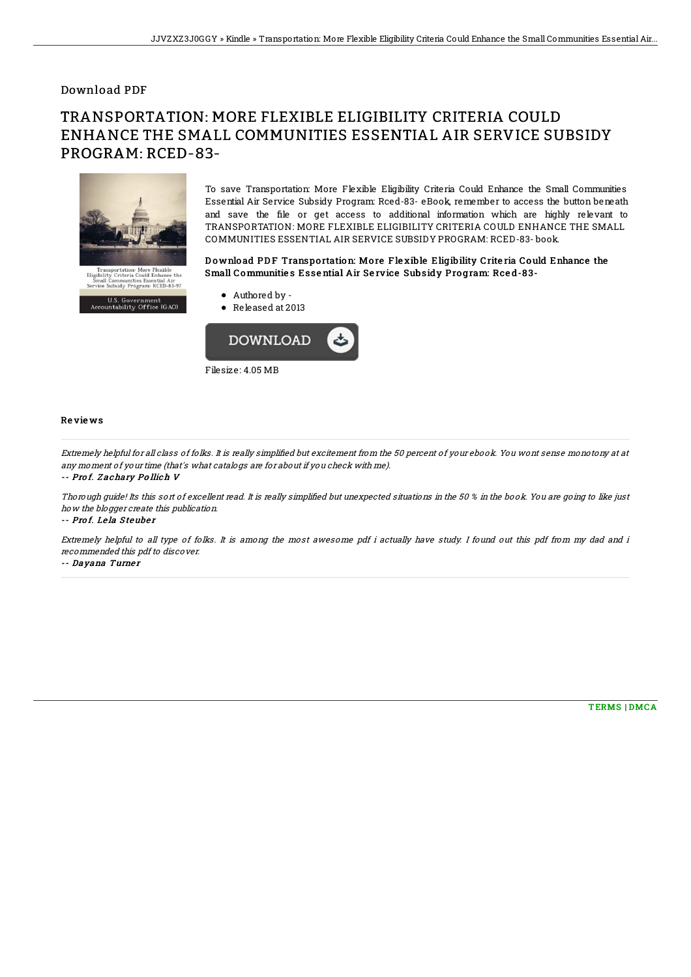### Download PDF

# TRANSPORTATION: MORE FLEXIBLE ELIGIBILITY CRITERIA COULD ENHANCE THE SMALL COMMUNITIES ESSENTIAL AIR SERVICE SUBSIDY PROGRAM: RCED-83-



To save Transportation: More Flexible Eligibility Criteria Could Enhance the Small Communities Essential Air Service Subsidy Program: Rced-83- eBook, remember to access the button beneath and save the file or get access to additional information which are highly relevant to TRANSPORTATION: MORE FLEXIBLE ELIGIBILITY CRITERIA COULD ENHANCE THE SMALL COMMUNITIES ESSENTIAL AIR SERVICE SUBSIDY PROGRAM: RCED-83- book.

#### Download PDF Transportation: More Flexible Eligibility Criteria Could Enhance the Small Communities Essential Air Service Subsidy Program: Rced-83-

- Authored by -
- Released at 2013



#### Re vie ws

Extremely helpful for all class of folks. It is really simplified but excitement from the 50 percent of your ebook. You wont sense monotony at at any moment of your time (that's what catalogs are for about if you check with me).

-- Pro f. Z achary Po llich V

Thorough guide! Its this sort of excellent read. It is really simplified but unexpected situations in the 50 % in the book. You are going to like just how the blogger create this publication.

-- Prof. Lela Steuber

Extremely helpful to all type of folks. It is among the most awesome pdf i actually have study. I found out this pdf from my dad and i recommended this pdf to discover.

-- Dayana Turner